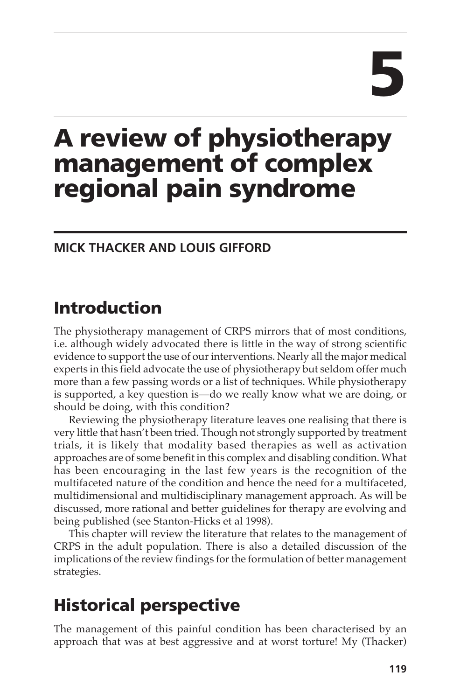# **5**

## **A review of physiotherapy management of complex regional pain syndrome**

#### **MICK THACKER AND LOUIS GIFFORD**

## **Introduction**

The physiotherapy management of CRPS mirrors that of most conditions, i.e. although widely advocated there is little in the way of strong scientific evidence to support the use of our interventions. Nearly all the major medical experts in this field advocate the use of physiotherapy but seldom offer much more than a few passing words or a list of techniques. While physiotherapy is supported, a key question is—do we really know what we are doing, or should be doing, with this condition?

Reviewing the physiotherapy literature leaves one realising that there is very little that hasn't been tried. Though not strongly supported by treatment trials, it is likely that modality based therapies as well as activation approaches are of some benefit in this complex and disabling condition. What has been encouraging in the last few years is the recognition of the multifaceted nature of the condition and hence the need for a multifaceted, multidimensional and multidisciplinary management approach. As will be discussed, more rational and better guidelines for therapy are evolving and being published (see Stanton-Hicks et al 1998).

This chapter will review the literature that relates to the management of CRPS in the adult population. There is also a detailed discussion of the implications of the review findings for the formulation of better management strategies.

## **Historical perspective**

The management of this painful condition has been characterised by an approach that was at best aggressive and at worst torture! My (Thacker)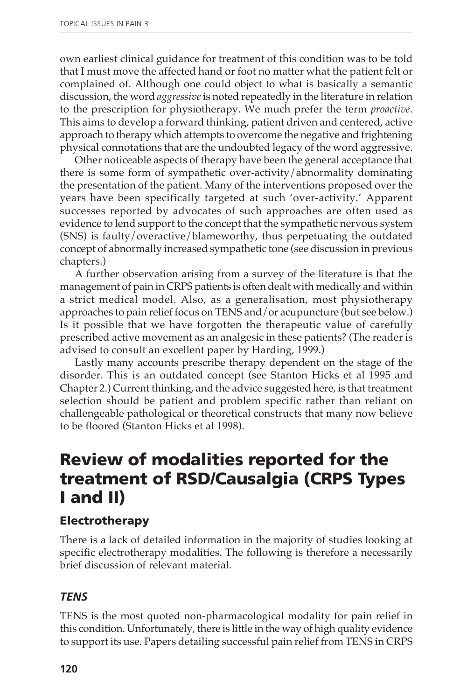own earliest clinical guidance for treatment of this condition was to be told that I must move the affected hand or foot no matter what the patient felt or complained of. Although one could object to what is basically a semantic discussion, the word *aggressive* is noted repeatedly in the literature in relation to the prescription for physiotherapy. We much prefer the term *proactive*. This aims to develop a forward thinking, patient driven and centered, active approach to therapy which attempts to overcome the negative and frightening physical connotations that are the undoubted legacy of the word aggressive.

Other noticeable aspects of therapy have been the general acceptance that there is some form of sympathetic over-activity/abnormality dominating the presentation of the patient. Many of the interventions proposed over the years have been specifically targeted at such 'over-activity.' Apparent successes reported by advocates of such approaches are often used as evidence to lend support to the concept that the sympathetic nervous system (SNS) is faulty/overactive/blameworthy, thus perpetuating the outdated concept of abnormally increased sympathetic tone (see discussion in previous chapters.)

A further observation arising from a survey of the literature is that the management of pain in CRPS patients is often dealt with medically and within a strict medical model. Also, as a generalisation, most physiotherapy approaches to pain relief focus on TENS and/or acupuncture (but see below.) Is it possible that we have forgotten the therapeutic value of carefully prescribed active movement as an analgesic in these patients? (The reader is advised to consult an excellent paper by Harding, 1999.)

Lastly many accounts prescribe therapy dependent on the stage of the disorder. This is an outdated concept (see Stanton Hicks et al 1995 and Chapter 2.) Current thinking, and the advice suggested here, is that treatment selection should be patient and problem specific rather than reliant on challengeable pathological or theoretical constructs that many now believe to be floored (Stanton Hicks et al 1998).

## **Review of modalities reported for the treatment of RSD/Causalgia (CRPS Types I and II)**

#### **Electrotherapy**

There is a lack of detailed information in the majority of studies looking at specific electrotherapy modalities. The following is therefore a necessarily brief discussion of relevant material.

#### *TENS*

TENS is the most quoted non-pharmacological modality for pain relief in this condition. Unfortunately, there is little in the way of high quality evidence to support its use. Papers detailing successful pain relief from TENS in CRPS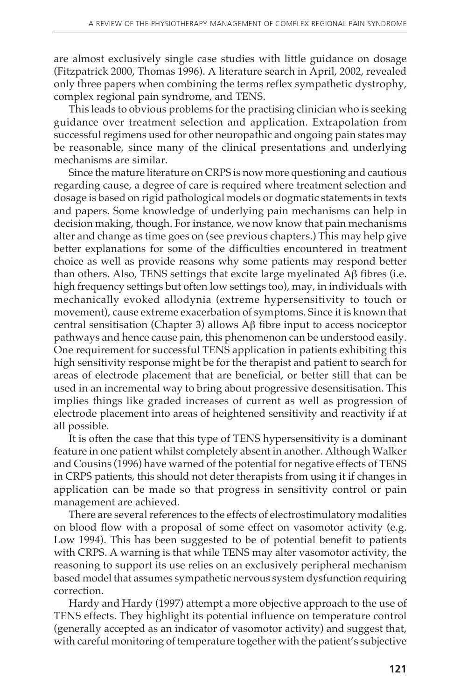are almost exclusively single case studies with little guidance on dosage (Fitzpatrick 2000, Thomas 1996). A literature search in April, 2002, revealed only three papers when combining the terms reflex sympathetic dystrophy, complex regional pain syndrome, and TENS.

This leads to obvious problems for the practising clinician who is seeking guidance over treatment selection and application. Extrapolation from successful regimens used for other neuropathic and ongoing pain states may be reasonable, since many of the clinical presentations and underlying mechanisms are similar.

Since the mature literature on CRPS is now more questioning and cautious regarding cause, a degree of care is required where treatment selection and dosage is based on rigid pathological models or dogmatic statements in texts and papers. Some knowledge of underlying pain mechanisms can help in decision making, though. For instance, we now know that pain mechanisms alter and change as time goes on (see previous chapters.) This may help give better explanations for some of the difficulties encountered in treatment choice as well as provide reasons why some patients may respond better than others. Also, TENS settings that excite large myelinated Aβ fibres (i.e. high frequency settings but often low settings too), may, in individuals with mechanically evoked allodynia (extreme hypersensitivity to touch or movement), cause extreme exacerbation of symptoms. Since it is known that central sensitisation (Chapter 3) allows Aβ fibre input to access nociceptor pathways and hence cause pain, this phenomenon can be understood easily. One requirement for successful TENS application in patients exhibiting this high sensitivity response might be for the therapist and patient to search for areas of electrode placement that are beneficial, or better still that can be used in an incremental way to bring about progressive desensitisation. This implies things like graded increases of current as well as progression of electrode placement into areas of heightened sensitivity and reactivity if at all possible.

It is often the case that this type of TENS hypersensitivity is a dominant feature in one patient whilst completely absent in another. Although Walker and Cousins (1996) have warned of the potential for negative effects of TENS in CRPS patients, this should not deter therapists from using it if changes in application can be made so that progress in sensitivity control or pain management are achieved.

There are several references to the effects of electrostimulatory modalities on blood flow with a proposal of some effect on vasomotor activity (e.g. Low 1994). This has been suggested to be of potential benefit to patients with CRPS. A warning is that while TENS may alter vasomotor activity, the reasoning to support its use relies on an exclusively peripheral mechanism based model that assumes sympathetic nervous system dysfunction requiring correction.

Hardy and Hardy (1997) attempt a more objective approach to the use of TENS effects. They highlight its potential influence on temperature control (generally accepted as an indicator of vasomotor activity) and suggest that, with careful monitoring of temperature together with the patient's subjective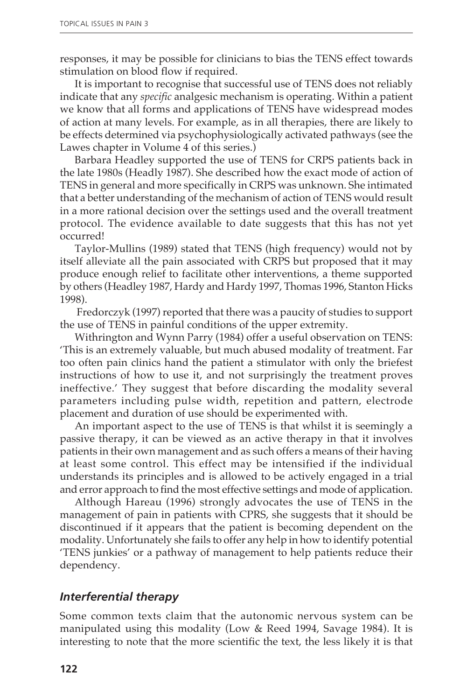responses, it may be possible for clinicians to bias the TENS effect towards stimulation on blood flow if required.

It is important to recognise that successful use of TENS does not reliably indicate that any *specific* analgesic mechanism is operating. Within a patient we know that all forms and applications of TENS have widespread modes of action at many levels. For example, as in all therapies, there are likely to be effects determined via psychophysiologically activated pathways (see the Lawes chapter in Volume 4 of this series.)

Barbara Headley supported the use of TENS for CRPS patients back in the late 1980s (Headly 1987). She described how the exact mode of action of TENS in general and more specifically in CRPS was unknown. She intimated that a better understanding of the mechanism of action of TENS would result in a more rational decision over the settings used and the overall treatment protocol. The evidence available to date suggests that this has not yet occurred!

Taylor-Mullins (1989) stated that TENS (high frequency) would not by itself alleviate all the pain associated with CRPS but proposed that it may produce enough relief to facilitate other interventions, a theme supported by others (Headley 1987, Hardy and Hardy 1997, Thomas 1996, Stanton Hicks 1998).

 Fredorczyk (1997) reported that there was a paucity of studies to support the use of TENS in painful conditions of the upper extremity.

Withrington and Wynn Parry (1984) offer a useful observation on TENS: 'This is an extremely valuable, but much abused modality of treatment. Far too often pain clinics hand the patient a stimulator with only the briefest instructions of how to use it, and not surprisingly the treatment proves ineffective.' They suggest that before discarding the modality several parameters including pulse width, repetition and pattern, electrode placement and duration of use should be experimented with.

An important aspect to the use of TENS is that whilst it is seemingly a passive therapy, it can be viewed as an active therapy in that it involves patients in their own management and as such offers a means of their having at least some control. This effect may be intensified if the individual understands its principles and is allowed to be actively engaged in a trial and error approach to find the most effective settings and mode of application.

Although Hareau (1996) strongly advocates the use of TENS in the management of pain in patients with CPRS, she suggests that it should be discontinued if it appears that the patient is becoming dependent on the modality. Unfortunately she fails to offer any help in how to identify potential 'TENS junkies' or a pathway of management to help patients reduce their dependency.

#### *Interferential therapy*

Some common texts claim that the autonomic nervous system can be manipulated using this modality (Low & Reed 1994, Savage 1984). It is interesting to note that the more scientific the text, the less likely it is that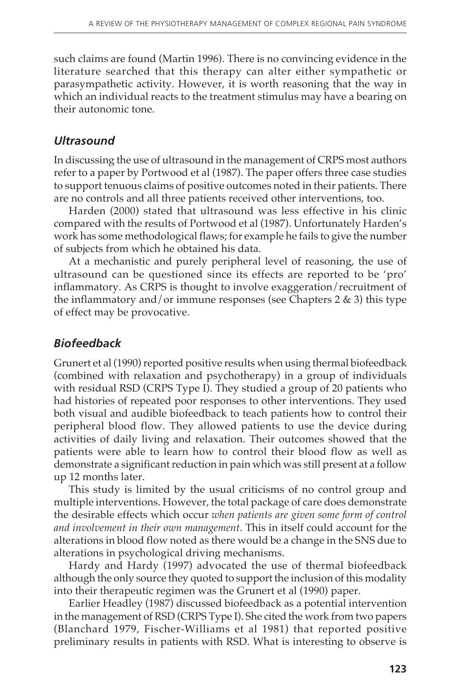such claims are found (Martin 1996). There is no convincing evidence in the literature searched that this therapy can alter either sympathetic or parasympathetic activity. However, it is worth reasoning that the way in which an individual reacts to the treatment stimulus may have a bearing on their autonomic tone.

#### *Ultrasound*

In discussing the use of ultrasound in the management of CRPS most authors refer to a paper by Portwood et al (1987). The paper offers three case studies to support tenuous claims of positive outcomes noted in their patients. There are no controls and all three patients received other interventions, too.

Harden (2000) stated that ultrasound was less effective in his clinic compared with the results of Portwood et al (1987). Unfortunately Harden's work has some methodological flaws; for example he fails to give the number of subjects from which he obtained his data.

At a mechanistic and purely peripheral level of reasoning, the use of ultrasound can be questioned since its effects are reported to be 'pro' inflammatory. As CRPS is thought to involve exaggeration/recruitment of the inflammatory and/or immune responses (see Chapters 2  $\&$  3) this type of effect may be provocative.

#### *Biofeedback*

Grunert et al (1990) reported positive results when using thermal biofeedback (combined with relaxation and psychotherapy) in a group of individuals with residual RSD (CRPS Type I). They studied a group of 20 patients who had histories of repeated poor responses to other interventions. They used both visual and audible biofeedback to teach patients how to control their peripheral blood flow. They allowed patients to use the device during activities of daily living and relaxation. Their outcomes showed that the patients were able to learn how to control their blood flow as well as demonstrate a significant reduction in pain which was still present at a follow up 12 months later.

This study is limited by the usual criticisms of no control group and multiple interventions. However, the total package of care does demonstrate the desirable effects which occur *when patients are given some form of control and involvement in their own management*. This in itself could account for the alterations in blood flow noted as there would be a change in the SNS due to alterations in psychological driving mechanisms.

Hardy and Hardy (1997) advocated the use of thermal biofeedback although the only source they quoted to support the inclusion of this modality into their therapeutic regimen was the Grunert et al (1990) paper.

Earlier Headley (1987) discussed biofeedback as a potential intervention in the management of RSD (CRPS Type I). She cited the work from two papers (Blanchard 1979, Fischer-Williams et al 1981) that reported positive preliminary results in patients with RSD. What is interesting to observe is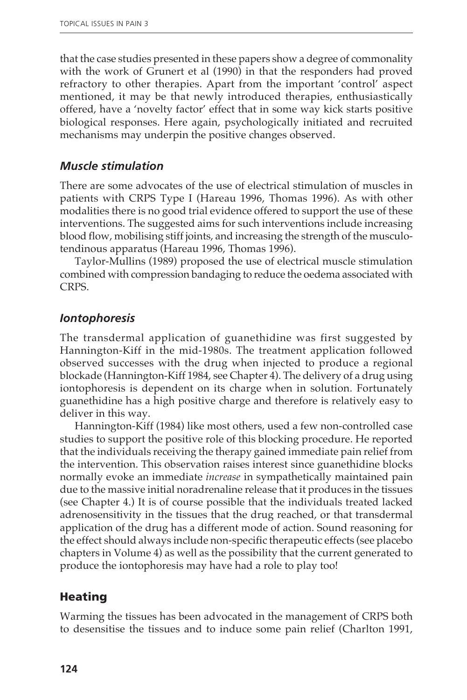that the case studies presented in these papers show a degree of commonality with the work of Grunert et al (1990) in that the responders had proved refractory to other therapies. Apart from the important 'control' aspect mentioned, it may be that newly introduced therapies, enthusiastically offered, have a 'novelty factor' effect that in some way kick starts positive biological responses. Here again, psychologically initiated and recruited mechanisms may underpin the positive changes observed.

#### *Muscle stimulation*

There are some advocates of the use of electrical stimulation of muscles in patients with CRPS Type I (Hareau 1996, Thomas 1996). As with other modalities there is no good trial evidence offered to support the use of these interventions. The suggested aims for such interventions include increasing blood flow, mobilising stiff joints, and increasing the strength of the musculotendinous apparatus (Hareau 1996, Thomas 1996).

Taylor-Mullins (1989) proposed the use of electrical muscle stimulation combined with compression bandaging to reduce the oedema associated with CRPS.

#### *Iontophoresis*

The transdermal application of guanethidine was first suggested by Hannington-Kiff in the mid-1980s. The treatment application followed observed successes with the drug when injected to produce a regional blockade (Hannington-Kiff 1984, see Chapter 4). The delivery of a drug using iontophoresis is dependent on its charge when in solution. Fortunately guanethidine has a high positive charge and therefore is relatively easy to deliver in this way.

Hannington-Kiff (1984) like most others, used a few non-controlled case studies to support the positive role of this blocking procedure. He reported that the individuals receiving the therapy gained immediate pain relief from the intervention. This observation raises interest since guanethidine blocks normally evoke an immediate *increase* in sympathetically maintained pain due to the massive initial noradrenaline release that it produces in the tissues (see Chapter 4.) It is of course possible that the individuals treated lacked adrenosensitivity in the tissues that the drug reached, or that transdermal application of the drug has a different mode of action. Sound reasoning for the effect should always include non-specific therapeutic effects (see placebo chapters in Volume 4) as well as the possibility that the current generated to produce the iontophoresis may have had a role to play too!

#### **Heating**

Warming the tissues has been advocated in the management of CRPS both to desensitise the tissues and to induce some pain relief (Charlton 1991,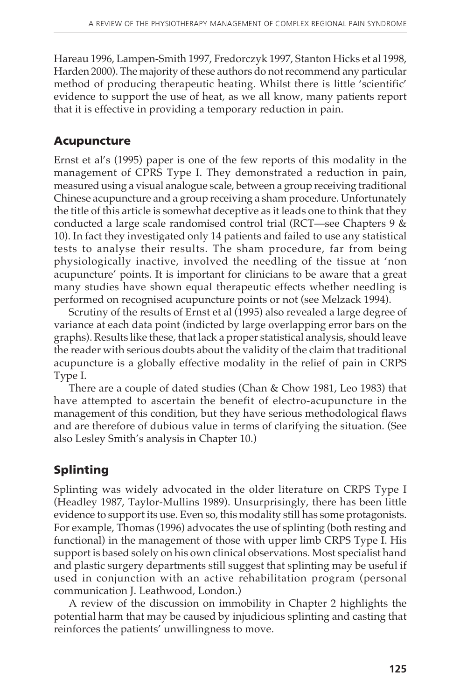Hareau 1996, Lampen-Smith 1997, Fredorczyk 1997, Stanton Hicks et al 1998, Harden 2000). The majority of these authors do not recommend any particular method of producing therapeutic heating. Whilst there is little 'scientific' evidence to support the use of heat, as we all know, many patients report that it is effective in providing a temporary reduction in pain.

#### **Acupuncture**

Ernst et al's (1995) paper is one of the few reports of this modality in the management of CPRS Type I. They demonstrated a reduction in pain, measured using a visual analogue scale, between a group receiving traditional Chinese acupuncture and a group receiving a sham procedure. Unfortunately the title of this article is somewhat deceptive as it leads one to think that they conducted a large scale randomised control trial (RCT—see Chapters 9 & 10). In fact they investigated only 14 patients and failed to use any statistical tests to analyse their results. The sham procedure, far from being physiologically inactive, involved the needling of the tissue at 'non acupuncture' points. It is important for clinicians to be aware that a great many studies have shown equal therapeutic effects whether needling is performed on recognised acupuncture points or not (see Melzack 1994).

Scrutiny of the results of Ernst et al (1995) also revealed a large degree of variance at each data point (indicted by large overlapping error bars on the graphs). Results like these, that lack a proper statistical analysis, should leave the reader with serious doubts about the validity of the claim that traditional acupuncture is a globally effective modality in the relief of pain in CRPS Type I.

There are a couple of dated studies (Chan & Chow 1981, Leo 1983) that have attempted to ascertain the benefit of electro-acupuncture in the management of this condition, but they have serious methodological flaws and are therefore of dubious value in terms of clarifying the situation. (See also Lesley Smith's analysis in Chapter 10.)

#### **Splinting**

Splinting was widely advocated in the older literature on CRPS Type I (Headley 1987, Taylor-Mullins 1989). Unsurprisingly, there has been little evidence to support its use. Even so, this modality still has some protagonists. For example, Thomas (1996) advocates the use of splinting (both resting and functional) in the management of those with upper limb CRPS Type I. His support is based solely on his own clinical observations. Most specialist hand and plastic surgery departments still suggest that splinting may be useful if used in conjunction with an active rehabilitation program (personal communication J. Leathwood, London.)

A review of the discussion on immobility in Chapter 2 highlights the potential harm that may be caused by injudicious splinting and casting that reinforces the patients' unwillingness to move.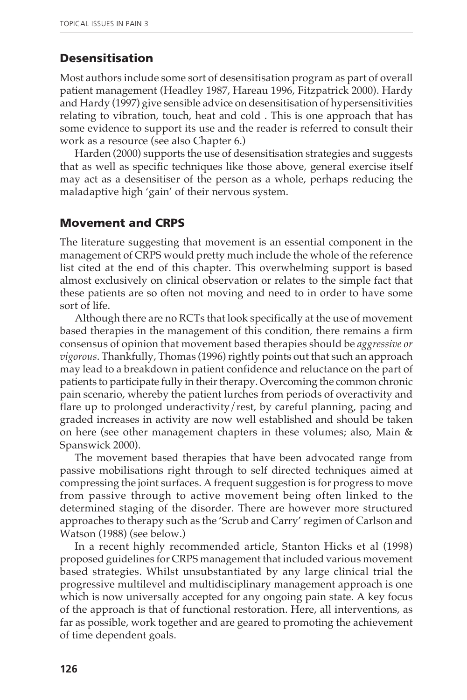#### **Desensitisation**

Most authors include some sort of desensitisation program as part of overall patient management (Headley 1987, Hareau 1996, Fitzpatrick 2000). Hardy and Hardy (1997) give sensible advice on desensitisation of hypersensitivities relating to vibration, touch, heat and cold . This is one approach that has some evidence to support its use and the reader is referred to consult their work as a resource (see also Chapter 6.)

Harden (2000) supports the use of desensitisation strategies and suggests that as well as specific techniques like those above, general exercise itself may act as a desensitiser of the person as a whole, perhaps reducing the maladaptive high 'gain' of their nervous system.

#### **Movement and CRPS**

The literature suggesting that movement is an essential component in the management of CRPS would pretty much include the whole of the reference list cited at the end of this chapter. This overwhelming support is based almost exclusively on clinical observation or relates to the simple fact that these patients are so often not moving and need to in order to have some sort of life.

Although there are no RCTs that look specifically at the use of movement based therapies in the management of this condition, there remains a firm consensus of opinion that movement based therapies should be *aggressive or vigorous*. Thankfully, Thomas (1996) rightly points out that such an approach may lead to a breakdown in patient confidence and reluctance on the part of patients to participate fully in their therapy. Overcoming the common chronic pain scenario, whereby the patient lurches from periods of overactivity and flare up to prolonged underactivity/rest, by careful planning, pacing and graded increases in activity are now well established and should be taken on here (see other management chapters in these volumes; also, Main & Spanswick 2000).

The movement based therapies that have been advocated range from passive mobilisations right through to self directed techniques aimed at compressing the joint surfaces. A frequent suggestion is for progress to move from passive through to active movement being often linked to the determined staging of the disorder. There are however more structured approaches to therapy such as the 'Scrub and Carry' regimen of Carlson and Watson (1988) (see below.)

In a recent highly recommended article, Stanton Hicks et al (1998) proposed guidelines for CRPS management that included various movement based strategies. Whilst unsubstantiated by any large clinical trial the progressive multilevel and multidisciplinary management approach is one which is now universally accepted for any ongoing pain state. A key focus of the approach is that of functional restoration. Here, all interventions, as far as possible, work together and are geared to promoting the achievement of time dependent goals.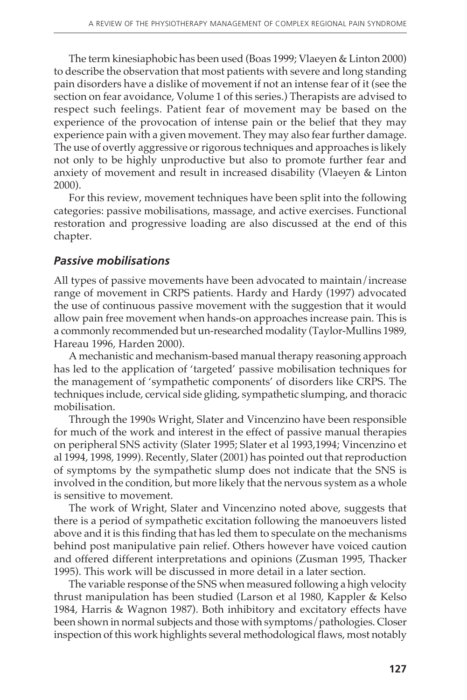The term kinesiaphobic has been used (Boas 1999; Vlaeyen & Linton 2000) to describe the observation that most patients with severe and long standing pain disorders have a dislike of movement if not an intense fear of it (see the section on fear avoidance, Volume 1 of this series.) Therapists are advised to respect such feelings. Patient fear of movement may be based on the experience of the provocation of intense pain or the belief that they may experience pain with a given movement. They may also fear further damage. The use of overtly aggressive or rigorous techniques and approaches is likely not only to be highly unproductive but also to promote further fear and anxiety of movement and result in increased disability (Vlaeyen & Linton 2000).

For this review, movement techniques have been split into the following categories: passive mobilisations, massage, and active exercises. Functional restoration and progressive loading are also discussed at the end of this chapter.

#### *Passive mobilisations*

All types of passive movements have been advocated to maintain/increase range of movement in CRPS patients. Hardy and Hardy (1997) advocated the use of continuous passive movement with the suggestion that it would allow pain free movement when hands-on approaches increase pain. This is a commonly recommended but un-researched modality (Taylor-Mullins 1989, Hareau 1996, Harden 2000).

A mechanistic and mechanism-based manual therapy reasoning approach has led to the application of 'targeted' passive mobilisation techniques for the management of 'sympathetic components' of disorders like CRPS. The techniques include, cervical side gliding, sympathetic slumping, and thoracic mobilisation.

Through the 1990s Wright, Slater and Vincenzino have been responsible for much of the work and interest in the effect of passive manual therapies on peripheral SNS activity (Slater 1995; Slater et al 1993,1994; Vincenzino et al 1994, 1998, 1999). Recently, Slater (2001) has pointed out that reproduction of symptoms by the sympathetic slump does not indicate that the SNS is involved in the condition, but more likely that the nervous system as a whole is sensitive to movement.

The work of Wright, Slater and Vincenzino noted above, suggests that there is a period of sympathetic excitation following the manoeuvers listed above and it is this finding that has led them to speculate on the mechanisms behind post manipulative pain relief. Others however have voiced caution and offered different interpretations and opinions (Zusman 1995, Thacker 1995). This work will be discussed in more detail in a later section.

The variable response of the SNS when measured following a high velocity thrust manipulation has been studied (Larson et al 1980, Kappler & Kelso 1984, Harris & Wagnon 1987). Both inhibitory and excitatory effects have been shown in normal subjects and those with symptoms/pathologies. Closer inspection of this work highlights several methodological flaws, most notably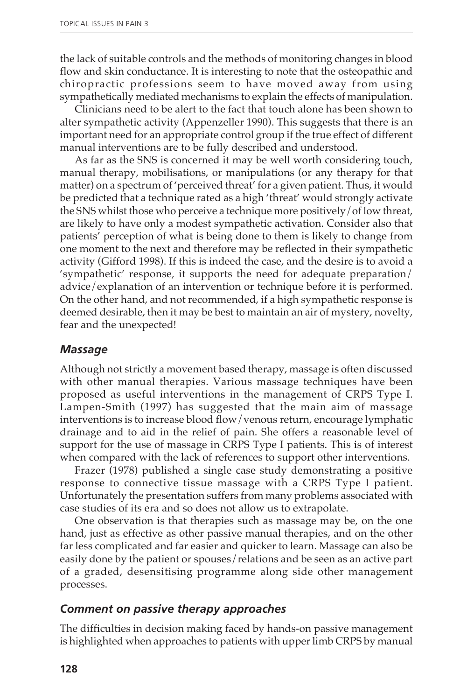the lack of suitable controls and the methods of monitoring changes in blood flow and skin conductance. It is interesting to note that the osteopathic and chiropractic professions seem to have moved away from using sympathetically mediated mechanisms to explain the effects of manipulation.

Clinicians need to be alert to the fact that touch alone has been shown to alter sympathetic activity (Appenzeller 1990). This suggests that there is an important need for an appropriate control group if the true effect of different manual interventions are to be fully described and understood.

As far as the SNS is concerned it may be well worth considering touch, manual therapy, mobilisations, or manipulations (or any therapy for that matter) on a spectrum of 'perceived threat' for a given patient. Thus, it would be predicted that a technique rated as a high 'threat' would strongly activate the SNS whilst those who perceive a technique more positively/of low threat, are likely to have only a modest sympathetic activation. Consider also that patients' perception of what is being done to them is likely to change from one moment to the next and therefore may be reflected in their sympathetic activity (Gifford 1998). If this is indeed the case, and the desire is to avoid a 'sympathetic' response, it supports the need for adequate preparation/ advice/explanation of an intervention or technique before it is performed. On the other hand, and not recommended, if a high sympathetic response is deemed desirable, then it may be best to maintain an air of mystery, novelty, fear and the unexpected!

#### *Massage*

Although not strictly a movement based therapy, massage is often discussed with other manual therapies. Various massage techniques have been proposed as useful interventions in the management of CRPS Type I. Lampen-Smith (1997) has suggested that the main aim of massage interventions is to increase blood flow/venous return, encourage lymphatic drainage and to aid in the relief of pain. She offers a reasonable level of support for the use of massage in CRPS Type I patients. This is of interest when compared with the lack of references to support other interventions.

Frazer (1978) published a single case study demonstrating a positive response to connective tissue massage with a CRPS Type I patient. Unfortunately the presentation suffers from many problems associated with case studies of its era and so does not allow us to extrapolate.

One observation is that therapies such as massage may be, on the one hand, just as effective as other passive manual therapies, and on the other far less complicated and far easier and quicker to learn. Massage can also be easily done by the patient or spouses/relations and be seen as an active part of a graded, desensitising programme along side other management processes.

#### *Comment on passive therapy approaches*

The difficulties in decision making faced by hands-on passive management is highlighted when approaches to patients with upper limb CRPS by manual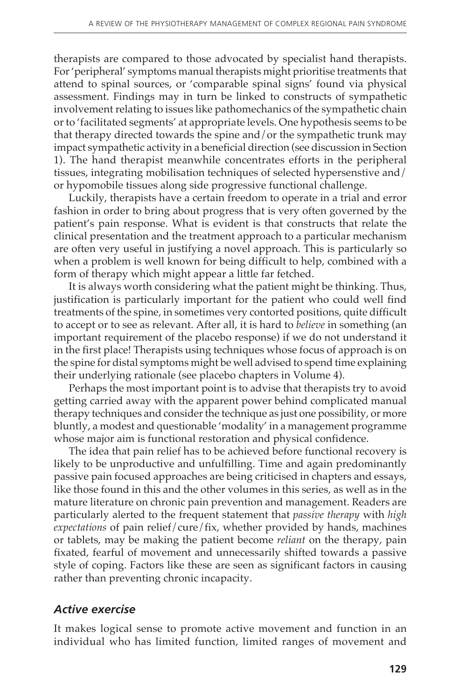therapists are compared to those advocated by specialist hand therapists. For 'peripheral' symptoms manual therapists might prioritise treatments that attend to spinal sources, or 'comparable spinal signs' found via physical assessment. Findings may in turn be linked to constructs of sympathetic involvement relating to issues like pathomechanics of the sympathetic chain or to 'facilitated segments' at appropriate levels. One hypothesis seems to be that therapy directed towards the spine and/or the sympathetic trunk may impact sympathetic activity in a beneficial direction (see discussion in Section 1). The hand therapist meanwhile concentrates efforts in the peripheral tissues, integrating mobilisation techniques of selected hypersenstive and/ or hypomobile tissues along side progressive functional challenge.

Luckily, therapists have a certain freedom to operate in a trial and error fashion in order to bring about progress that is very often governed by the patient's pain response. What is evident is that constructs that relate the clinical presentation and the treatment approach to a particular mechanism are often very useful in justifying a novel approach. This is particularly so when a problem is well known for being difficult to help, combined with a form of therapy which might appear a little far fetched.

It is always worth considering what the patient might be thinking. Thus, justification is particularly important for the patient who could well find treatments of the spine, in sometimes very contorted positions, quite difficult to accept or to see as relevant. After all, it is hard to *believe* in something (an important requirement of the placebo response) if we do not understand it in the first place! Therapists using techniques whose focus of approach is on the spine for distal symptoms might be well advised to spend time explaining their underlying rationale (see placebo chapters in Volume 4).

Perhaps the most important point is to advise that therapists try to avoid getting carried away with the apparent power behind complicated manual therapy techniques and consider the technique as just one possibility, or more bluntly, a modest and questionable 'modality' in a management programme whose major aim is functional restoration and physical confidence.

The idea that pain relief has to be achieved before functional recovery is likely to be unproductive and unfulfilling. Time and again predominantly passive pain focused approaches are being criticised in chapters and essays, like those found in this and the other volumes in this series, as well as in the mature literature on chronic pain prevention and management. Readers are particularly alerted to the frequent statement that *passive therapy* with *high expectations* of pain relief/cure/fix, whether provided by hands, machines or tablets, may be making the patient become *reliant* on the therapy, pain fixated, fearful of movement and unnecessarily shifted towards a passive style of coping. Factors like these are seen as significant factors in causing rather than preventing chronic incapacity.

#### *Active exercise*

It makes logical sense to promote active movement and function in an individual who has limited function, limited ranges of movement and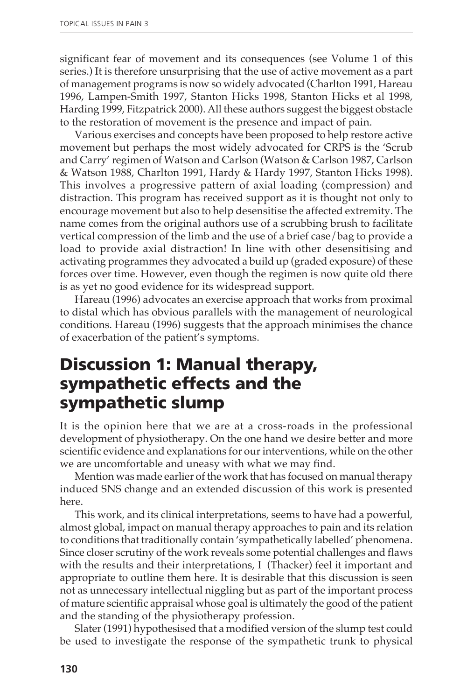significant fear of movement and its consequences (see Volume 1 of this series.) It is therefore unsurprising that the use of active movement as a part of management programs is now so widely advocated (Charlton 1991, Hareau 1996, Lampen-Smith 1997, Stanton Hicks 1998, Stanton Hicks et al 1998, Harding 1999, Fitzpatrick 2000). All these authors suggest the biggest obstacle to the restoration of movement is the presence and impact of pain.

Various exercises and concepts have been proposed to help restore active movement but perhaps the most widely advocated for CRPS is the 'Scrub and Carry' regimen of Watson and Carlson (Watson & Carlson 1987, Carlson & Watson 1988, Charlton 1991, Hardy & Hardy 1997, Stanton Hicks 1998). This involves a progressive pattern of axial loading (compression) and distraction. This program has received support as it is thought not only to encourage movement but also to help desensitise the affected extremity. The name comes from the original authors use of a scrubbing brush to facilitate vertical compression of the limb and the use of a brief case/bag to provide a load to provide axial distraction! In line with other desensitising and activating programmes they advocated a build up (graded exposure) of these forces over time. However, even though the regimen is now quite old there is as yet no good evidence for its widespread support.

Hareau (1996) advocates an exercise approach that works from proximal to distal which has obvious parallels with the management of neurological conditions. Hareau (1996) suggests that the approach minimises the chance of exacerbation of the patient's symptoms.

### **Discussion 1: Manual therapy, sympathetic effects and the sympathetic slump**

It is the opinion here that we are at a cross-roads in the professional development of physiotherapy. On the one hand we desire better and more scientific evidence and explanations for our interventions, while on the other we are uncomfortable and uneasy with what we may find.

Mention was made earlier of the work that has focused on manual therapy induced SNS change and an extended discussion of this work is presented here.

This work, and its clinical interpretations, seems to have had a powerful, almost global, impact on manual therapy approaches to pain and its relation to conditions that traditionally contain 'sympathetically labelled' phenomena. Since closer scrutiny of the work reveals some potential challenges and flaws with the results and their interpretations, I (Thacker) feel it important and appropriate to outline them here. It is desirable that this discussion is seen not as unnecessary intellectual niggling but as part of the important process of mature scientific appraisal whose goal is ultimately the good of the patient and the standing of the physiotherapy profession.

Slater (1991) hypothesised that a modified version of the slump test could be used to investigate the response of the sympathetic trunk to physical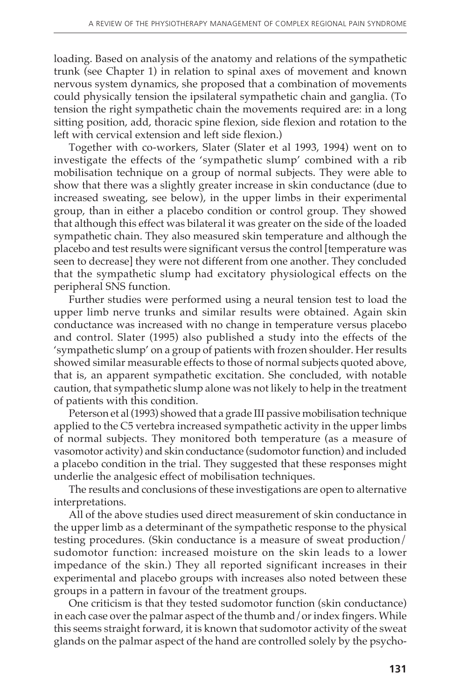loading. Based on analysis of the anatomy and relations of the sympathetic trunk (see Chapter 1) in relation to spinal axes of movement and known nervous system dynamics, she proposed that a combination of movements could physically tension the ipsilateral sympathetic chain and ganglia. (To tension the right sympathetic chain the movements required are: in a long sitting position, add, thoracic spine flexion, side flexion and rotation to the left with cervical extension and left side flexion.)

Together with co-workers, Slater (Slater et al 1993, 1994) went on to investigate the effects of the 'sympathetic slump' combined with a rib mobilisation technique on a group of normal subjects. They were able to show that there was a slightly greater increase in skin conductance (due to increased sweating, see below), in the upper limbs in their experimental group, than in either a placebo condition or control group. They showed that although this effect was bilateral it was greater on the side of the loaded sympathetic chain. They also measured skin temperature and although the placebo and test results were significant versus the control [temperature was seen to decrease] they were not different from one another. They concluded that the sympathetic slump had excitatory physiological effects on the peripheral SNS function.

Further studies were performed using a neural tension test to load the upper limb nerve trunks and similar results were obtained. Again skin conductance was increased with no change in temperature versus placebo and control. Slater (1995) also published a study into the effects of the 'sympathetic slump' on a group of patients with frozen shoulder. Her results showed similar measurable effects to those of normal subjects quoted above, that is, an apparent sympathetic excitation. She concluded, with notable caution, that sympathetic slump alone was not likely to help in the treatment of patients with this condition.

Peterson et al (1993) showed that a grade III passive mobilisation technique applied to the C5 vertebra increased sympathetic activity in the upper limbs of normal subjects. They monitored both temperature (as a measure of vasomotor activity) and skin conductance (sudomotor function) and included a placebo condition in the trial. They suggested that these responses might underlie the analgesic effect of mobilisation techniques.

The results and conclusions of these investigations are open to alternative interpretations.

All of the above studies used direct measurement of skin conductance in the upper limb as a determinant of the sympathetic response to the physical testing procedures. (Skin conductance is a measure of sweat production/ sudomotor function: increased moisture on the skin leads to a lower impedance of the skin.) They all reported significant increases in their experimental and placebo groups with increases also noted between these groups in a pattern in favour of the treatment groups.

One criticism is that they tested sudomotor function (skin conductance) in each case over the palmar aspect of the thumb and/or index fingers. While this seems straight forward, it is known that sudomotor activity of the sweat glands on the palmar aspect of the hand are controlled solely by the psycho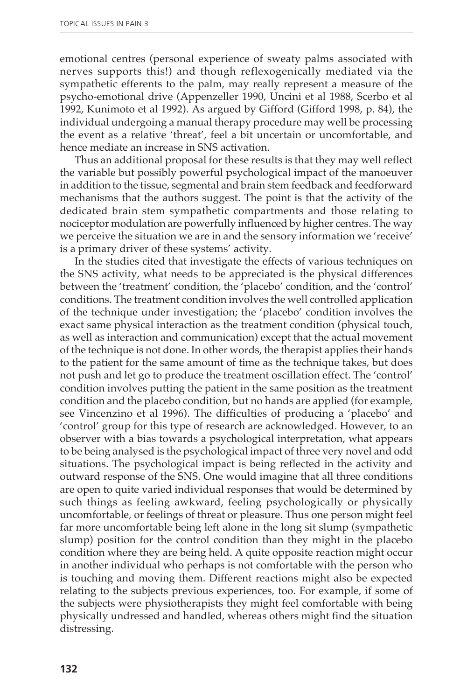emotional centres (personal experience of sweaty palms associated with nerves supports this!) and though reflexogenically mediated via the sympathetic efferents to the palm, may really represent a measure of the psycho-emotional drive (Appenzeller 1990, Uncini et al 1988, Scerbo et al 1992, Kunimoto et al 1992). As argued by Gifford (Gifford 1998, p. 84), the individual undergoing a manual therapy procedure may well be processing the event as a relative 'threat', feel a bit uncertain or uncomfortable, and hence mediate an increase in SNS activation.

Thus an additional proposal for these results is that they may well reflect the variable but possibly powerful psychological impact of the manoeuver in addition to the tissue, segmental and brain stem feedback and feedforward mechanisms that the authors suggest. The point is that the activity of the dedicated brain stem sympathetic compartments and those relating to nociceptor modulation are powerfully influenced by higher centres. The way we perceive the situation we are in and the sensory information we 'receive' is a primary driver of these systems' activity.

In the studies cited that investigate the effects of various techniques on the SNS activity, what needs to be appreciated is the physical differences between the 'treatment' condition, the 'placebo' condition, and the 'control' conditions. The treatment condition involves the well controlled application of the technique under investigation; the 'placebo' condition involves the exact same physical interaction as the treatment condition (physical touch, as well as interaction and communication) except that the actual movement of the technique is not done. In other words, the therapist applies their hands to the patient for the same amount of time as the technique takes, but does not push and let go to produce the treatment oscillation effect. The 'control' condition involves putting the patient in the same position as the treatment condition and the placebo condition, but no hands are applied (for example, see Vincenzino et al 1996). The difficulties of producing a 'placebo' and 'control' group for this type of research are acknowledged. However, to an observer with a bias towards a psychological interpretation, what appears to be being analysed is the psychological impact of three very novel and odd situations. The psychological impact is being reflected in the activity and outward response of the SNS. One would imagine that all three conditions are open to quite varied individual responses that would be determined by such things as feeling awkward, feeling psychologically or physically uncomfortable, or feelings of threat or pleasure. Thus one person might feel far more uncomfortable being left alone in the long sit slump (sympathetic slump) position for the control condition than they might in the placebo condition where they are being held. A quite opposite reaction might occur in another individual who perhaps is not comfortable with the person who is touching and moving them. Different reactions might also be expected relating to the subjects previous experiences, too. For example, if some of the subjects were physiotherapists they might feel comfortable with being physically undressed and handled, whereas others might find the situation distressing.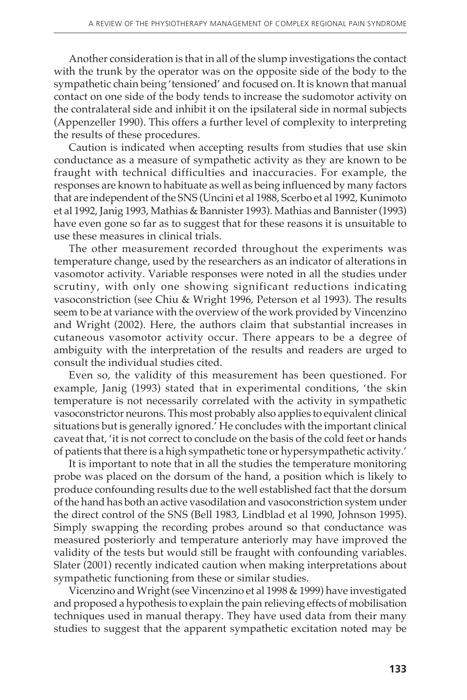Another consideration is that in all of the slump investigations the contact with the trunk by the operator was on the opposite side of the body to the sympathetic chain being 'tensioned' and focused on. It is known that manual contact on one side of the body tends to increase the sudomotor activity on the contralateral side and inhibit it on the ipsilateral side in normal subjects (Appenzeller 1990). This offers a further level of complexity to interpreting the results of these procedures.

Caution is indicated when accepting results from studies that use skin conductance as a measure of sympathetic activity as they are known to be fraught with technical difficulties and inaccuracies. For example, the responses are known to habituate as well as being influenced by many factors that are independent of the SNS (Uncini et al 1988, Scerbo et al 1992, Kunimoto et al 1992, Janig 1993, Mathias & Bannister 1993). Mathias and Bannister (1993) have even gone so far as to suggest that for these reasons it is unsuitable to use these measures in clinical trials.

The other measurement recorded throughout the experiments was temperature change, used by the researchers as an indicator of alterations in vasomotor activity. Variable responses were noted in all the studies under scrutiny, with only one showing significant reductions indicating vasoconstriction (see Chiu & Wright 1996, Peterson et al 1993). The results seem to be at variance with the overview of the work provided by Vincenzino and Wright (2002). Here, the authors claim that substantial increases in cutaneous vasomotor activity occur. There appears to be a degree of ambiguity with the interpretation of the results and readers are urged to consult the individual studies cited.

Even so, the validity of this measurement has been questioned. For example, Janig (1993) stated that in experimental conditions, 'the skin temperature is not necessarily correlated with the activity in sympathetic vasoconstrictor neurons. This most probably also applies to equivalent clinical situations but is generally ignored.' He concludes with the important clinical caveat that, 'it is not correct to conclude on the basis of the cold feet or hands of patients that there is a high sympathetic tone or hypersympathetic activity.'

It is important to note that in all the studies the temperature monitoring probe was placed on the dorsum of the hand, a position which is likely to produce confounding results due to the well established fact that the dorsum of the hand has both an active vasodilation and vasoconstriction system under the direct control of the SNS (Bell 1983, Lindblad et al 1990, Johnson 1995). Simply swapping the recording probes around so that conductance was measured posteriorly and temperature anteriorly may have improved the validity of the tests but would still be fraught with confounding variables. Slater (2001) recently indicated caution when making interpretations about sympathetic functioning from these or similar studies.

Vicenzino and Wright (see Vincenzino et al 1998 & 1999) have investigated and proposed a hypothesis to explain the pain relieving effects of mobilisation techniques used in manual therapy. They have used data from their many studies to suggest that the apparent sympathetic excitation noted may be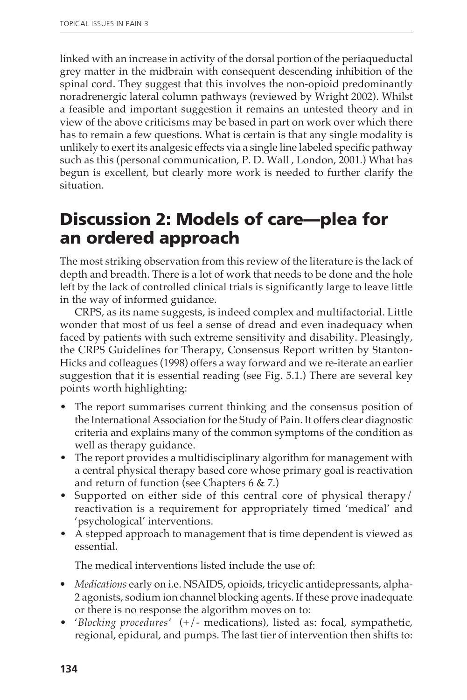linked with an increase in activity of the dorsal portion of the periaqueductal grey matter in the midbrain with consequent descending inhibition of the spinal cord. They suggest that this involves the non-opioid predominantly noradrenergic lateral column pathways (reviewed by Wright 2002). Whilst a feasible and important suggestion it remains an untested theory and in view of the above criticisms may be based in part on work over which there has to remain a few questions. What is certain is that any single modality is unlikely to exert its analgesic effects via a single line labeled specific pathway such as this (personal communication, P. D. Wall , London, 2001.) What has begun is excellent, but clearly more work is needed to further clarify the situation.

## **Discussion 2: Models of care—plea for an ordered approach**

The most striking observation from this review of the literature is the lack of depth and breadth. There is a lot of work that needs to be done and the hole left by the lack of controlled clinical trials is significantly large to leave little in the way of informed guidance.

CRPS, as its name suggests, is indeed complex and multifactorial. Little wonder that most of us feel a sense of dread and even inadequacy when faced by patients with such extreme sensitivity and disability. Pleasingly, the CRPS Guidelines for Therapy, Consensus Report written by Stanton-Hicks and colleagues (1998) offers a way forward and we re-iterate an earlier suggestion that it is essential reading (see Fig. 5.1.) There are several key points worth highlighting:

- The report summarises current thinking and the consensus position of the International Association for the Study of Pain. It offers clear diagnostic criteria and explains many of the common symptoms of the condition as well as therapy guidance.
- The report provides a multidisciplinary algorithm for management with a central physical therapy based core whose primary goal is reactivation and return of function (see Chapters 6 & 7.)
- Supported on either side of this central core of physical therapy/ reactivation is a requirement for appropriately timed 'medical' and 'psychological' interventions.
- A stepped approach to management that is time dependent is viewed as essential.

The medical interventions listed include the use of:

- *Medications* early on i.e. NSAIDS, opioids, tricyclic antidepressants, alpha-2 agonists, sodium ion channel blocking agents. If these prove inadequate or there is no response the algorithm moves on to:
- '*Blocking procedures'* (+/- medications), listed as: focal, sympathetic, regional, epidural, and pumps. The last tier of intervention then shifts to: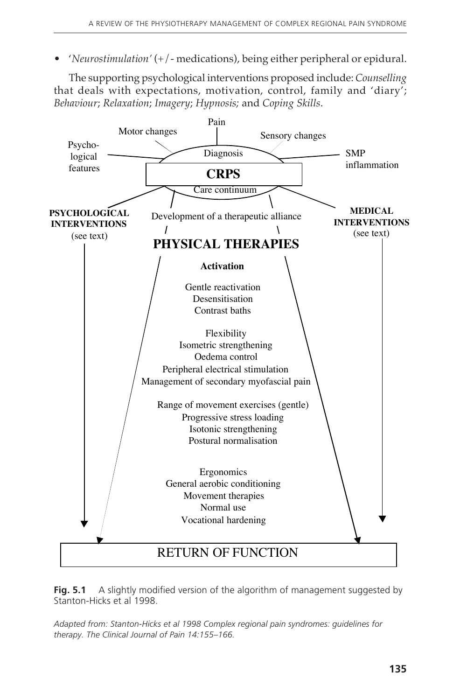• '*Neurostimulation'* (+/- medications), being either peripheral or epidural.

The supporting psychological interventions proposed include: *Counselling* that deals with expectations, motivation, control, family and 'diary'; *Behaviour*; *Relaxation*; *Imagery*; *Hypnosis;* and *Coping Skills*.



**Fig. 5.1** A slightly modified version of the algorithm of management suggested by Stanton-Hicks et al 1998.

*Adapted from: Stanton-Hicks et al 1998 Complex regional pain syndromes: guidelines for therapy. The Clinical Journal of Pain 14:155–166.*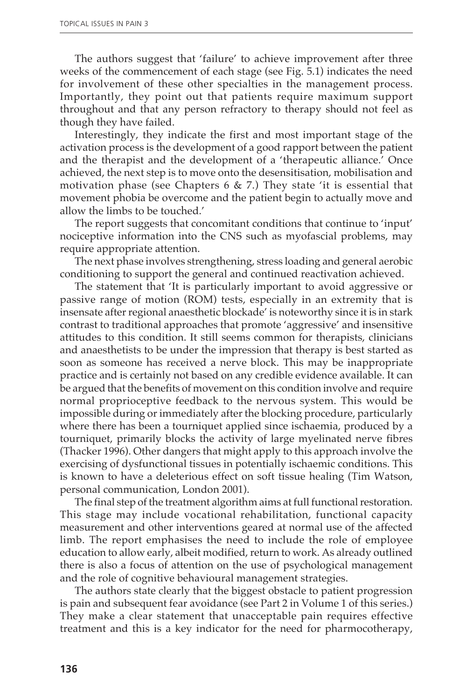The authors suggest that 'failure' to achieve improvement after three weeks of the commencement of each stage (see Fig. 5.1) indicates the need for involvement of these other specialties in the management process. Importantly, they point out that patients require maximum support throughout and that any person refractory to therapy should not feel as though they have failed.

Interestingly, they indicate the first and most important stage of the activation process is the development of a good rapport between the patient and the therapist and the development of a 'therapeutic alliance.' Once achieved, the next step is to move onto the desensitisation, mobilisation and motivation phase (see Chapters 6 & 7.) They state 'it is essential that movement phobia be overcome and the patient begin to actually move and allow the limbs to be touched.'

The report suggests that concomitant conditions that continue to 'input' nociceptive information into the CNS such as myofascial problems, may require appropriate attention.

The next phase involves strengthening, stress loading and general aerobic conditioning to support the general and continued reactivation achieved.

The statement that 'It is particularly important to avoid aggressive or passive range of motion (ROM) tests, especially in an extremity that is insensate after regional anaesthetic blockade' is noteworthy since it is in stark contrast to traditional approaches that promote 'aggressive' and insensitive attitudes to this condition. It still seems common for therapists, clinicians and anaesthetists to be under the impression that therapy is best started as soon as someone has received a nerve block. This may be inappropriate practice and is certainly not based on any credible evidence available. It can be argued that the benefits of movement on this condition involve and require normal proprioceptive feedback to the nervous system. This would be impossible during or immediately after the blocking procedure, particularly where there has been a tourniquet applied since ischaemia, produced by a tourniquet, primarily blocks the activity of large myelinated nerve fibres (Thacker 1996). Other dangers that might apply to this approach involve the exercising of dysfunctional tissues in potentially ischaemic conditions. This is known to have a deleterious effect on soft tissue healing (Tim Watson, personal communication, London 2001).

The final step of the treatment algorithm aims at full functional restoration. This stage may include vocational rehabilitation, functional capacity measurement and other interventions geared at normal use of the affected limb. The report emphasises the need to include the role of employee education to allow early, albeit modified, return to work. As already outlined there is also a focus of attention on the use of psychological management and the role of cognitive behavioural management strategies.

The authors state clearly that the biggest obstacle to patient progression is pain and subsequent fear avoidance (see Part 2 in Volume 1 of this series.) They make a clear statement that unacceptable pain requires effective treatment and this is a key indicator for the need for pharmocotherapy,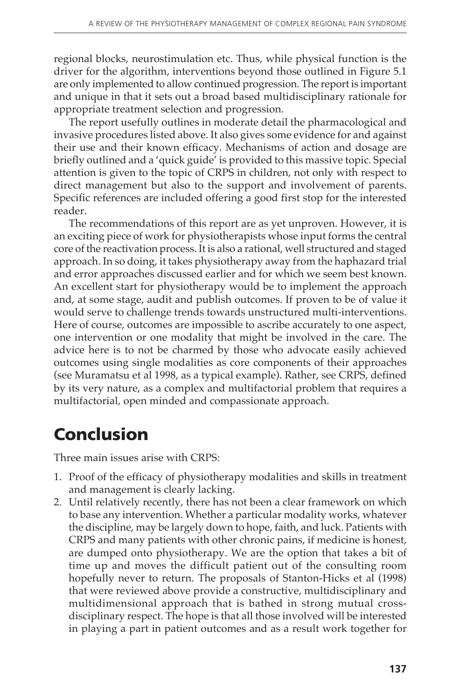regional blocks, neurostimulation etc. Thus, while physical function is the driver for the algorithm, interventions beyond those outlined in Figure 5.1 are only implemented to allow continued progression. The report is important and unique in that it sets out a broad based multidisciplinary rationale for appropriate treatment selection and progression.

The report usefully outlines in moderate detail the pharmacological and invasive procedures listed above. It also gives some evidence for and against their use and their known efficacy. Mechanisms of action and dosage are briefly outlined and a 'quick guide' is provided to this massive topic. Special attention is given to the topic of CRPS in children, not only with respect to direct management but also to the support and involvement of parents. Specific references are included offering a good first stop for the interested reader.

The recommendations of this report are as yet unproven. However, it is an exciting piece of work for physiotherapists whose input forms the central core of the reactivation process. It is also a rational, well structured and staged approach. In so doing, it takes physiotherapy away from the haphazard trial and error approaches discussed earlier and for which we seem best known. An excellent start for physiotherapy would be to implement the approach and, at some stage, audit and publish outcomes. If proven to be of value it would serve to challenge trends towards unstructured multi-interventions. Here of course, outcomes are impossible to ascribe accurately to one aspect, one intervention or one modality that might be involved in the care. The advice here is to not be charmed by those who advocate easily achieved outcomes using single modalities as core components of their approaches (see Muramatsu et al 1998, as a typical example). Rather, see CRPS, defined by its very nature, as a complex and multifactorial problem that requires a multifactorial, open minded and compassionate approach.

## **Conclusion**

Three main issues arise with CRPS:

- 1. Proof of the efficacy of physiotherapy modalities and skills in treatment and management is clearly lacking.
- 2. Until relatively recently, there has not been a clear framework on which to base any intervention. Whether a particular modality works, whatever the discipline, may be largely down to hope, faith, and luck. Patients with CRPS and many patients with other chronic pains, if medicine is honest, are dumped onto physiotherapy. We are the option that takes a bit of time up and moves the difficult patient out of the consulting room hopefully never to return. The proposals of Stanton-Hicks et al (1998) that were reviewed above provide a constructive, multidisciplinary and multidimensional approach that is bathed in strong mutual crossdisciplinary respect. The hope is that all those involved will be interested in playing a part in patient outcomes and as a result work together for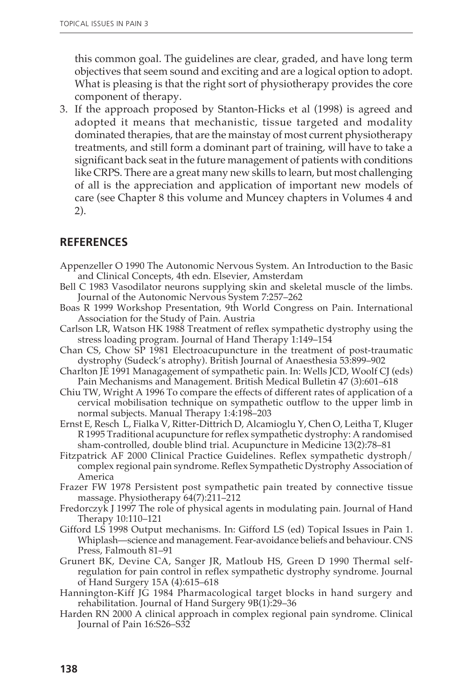this common goal. The guidelines are clear, graded, and have long term objectives that seem sound and exciting and are a logical option to adopt. What is pleasing is that the right sort of physiotherapy provides the core component of therapy.

3. If the approach proposed by Stanton-Hicks et al (1998) is agreed and adopted it means that mechanistic, tissue targeted and modality dominated therapies, that are the mainstay of most current physiotherapy treatments, and still form a dominant part of training, will have to take a significant back seat in the future management of patients with conditions like CRPS. There are a great many new skills to learn, but most challenging of all is the appreciation and application of important new models of care (see Chapter 8 this volume and Muncey chapters in Volumes 4 and 2).

#### **REFERENCES**

- Appenzeller O 1990 The Autonomic Nervous System. An Introduction to the Basic and Clinical Concepts, 4th edn. Elsevier, Amsterdam
- Bell C 1983 Vasodilator neurons supplying skin and skeletal muscle of the limbs. Journal of the Autonomic Nervous System 7:257–262
- Boas R 1999 Workshop Presentation, 9th World Congress on Pain. International Association for the Study of Pain. Austria
- Carlson LR, Watson HK 1988 Treatment of reflex sympathetic dystrophy using the stress loading program. Journal of Hand Therapy 1:149–154
- Chan CS, Chow SP 1981 Electroacupuncture in the treatment of post-traumatic dystrophy (Sudeck's atrophy). British Journal of Anaesthesia 53:899–902
- Charlton JE 1991 Managagement of sympathetic pain. In: Wells JCD, Woolf CJ (eds) Pain Mechanisms and Management. British Medical Bulletin 47 (3):601–618
- Chiu TW, Wright A 1996 To compare the effects of different rates of application of a cervical mobilisation technique on sympathetic outflow to the upper limb in normal subjects. Manual Therapy 1:4:198–203
- Ernst E, Resch L, Fialka V, Ritter-Dittrich D, Alcamioglu Y, Chen O, Leitha T, Kluger R 1995 Traditional acupuncture for reflex sympathetic dystrophy: A randomised sham-controlled, double blind trial. Acupuncture in Medicine 13(2):78–81
- Fitzpatrick AF 2000 Clinical Practice Guidelines. Reflex sympathetic dystroph/ complex regional pain syndrome. Reflex Sympathetic Dystrophy Association of America
- Frazer FW 1978 Persistent post sympathetic pain treated by connective tissue massage. Physiotherapy 64(7):211–212
- Fredorczyk J 1997 The role of physical agents in modulating pain. Journal of Hand Therapy 10:110–121
- Gifford LS 1998 Output mechanisms. In: Gifford LS (ed) Topical Issues in Pain 1. Whiplash—science and management. Fear-avoidance beliefs and behaviour. CNS Press, Falmouth 81–91
- Grunert BK, Devine CA, Sanger JR, Matloub HS, Green D 1990 Thermal selfregulation for pain control in reflex sympathetic dystrophy syndrome. Journal of Hand Surgery 15A (4):615–618
- Hannington-Kiff JG 1984 Pharmacological target blocks in hand surgery and rehabilitation. Journal of Hand Surgery 9B(1):29–36
- Harden RN 2000 A clinical approach in complex regional pain syndrome. Clinical Journal of Pain 16:S26–S32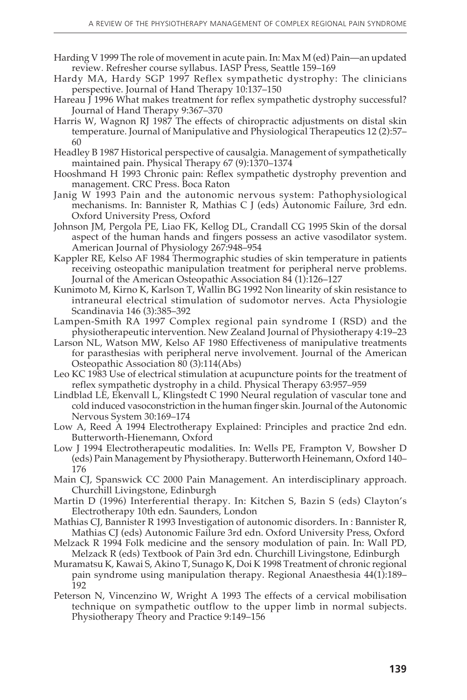- Harding V 1999 The role of movement in acute pain. In: Max M (ed) Pain—an updated review. Refresher course syllabus. IASP Press, Seattle 159–169
- Hardy MA, Hardy SGP 1997 Reflex sympathetic dystrophy: The clinicians perspective. Journal of Hand Therapy 10:137–150
- Hareau J 1996 What makes treatment for reflex sympathetic dystrophy successful? Journal of Hand Therapy 9:367–370
- Harris W, Wagnon RJ 1987 The effects of chiropractic adjustments on distal skin temperature. Journal of Manipulative and Physiological Therapeutics 12 (2):57– 60
- Headley B 1987 Historical perspective of causalgia. Management of sympathetically maintained pain. Physical Therapy 67 (9):1370–1374
- Hooshmand H 1993 Chronic pain: Reflex sympathetic dystrophy prevention and management. CRC Press. Boca Raton
- Janig W 1993 Pain and the autonomic nervous system: Pathophysiological mechanisms. In: Bannister R, Mathias C J (eds) Autonomic Failure, 3rd edn. Oxford University Press, Oxford
- Johnson JM, Pergola PE, Liao FK, Kellog DL, Crandall CG 1995 Skin of the dorsal aspect of the human hands and fingers possess an active vasodilator system. American Journal of Physiology 267:948–954
- Kappler RE, Kelso AF 1984 Thermographic studies of skin temperature in patients receiving osteopathic manipulation treatment for peripheral nerve problems. Journal of the American Osteopathic Association 84 (1):126–127
- Kunimoto M, Kirno K, Karlson T, Wallin BG 1992 Non linearity of skin resistance to intraneural electrical stimulation of sudomotor nerves. Acta Physiologie Scandinavia 146 (3):385–392
- Lampen-Smith RA 1997 Complex regional pain syndrome I (RSD) and the physiotherapeutic intervention. New Zealand Journal of Physiotherapy 4:19–23
- Larson NL, Watson MW, Kelso AF 1980 Effectiveness of manipulative treatments for parasthesias with peripheral nerve involvement. Journal of the American Osteopathic Association 80 (3):114(Abs)
- Leo KC 1983 Use of electrical stimulation at acupuncture points for the treatment of reflex sympathetic dystrophy in a child. Physical Therapy 63:957–959
- Lindblad LE, Ekenvall L, Klingstedt C 1990 Neural regulation of vascular tone and cold induced vasoconstriction in the human finger skin. Journal of the Autonomic Nervous System 30:169–174
- Low A, Reed A 1994 Electrotherapy Explained: Principles and practice 2nd edn. Butterworth-Hienemann, Oxford
- Low J 1994 Electrotherapeutic modalities. In: Wells PE, Frampton V, Bowsher D (eds) Pain Management by Physiotherapy. Butterworth Heinemann, Oxford 140– 176
- Main CJ, Spanswick CC 2000 Pain Management. An interdisciplinary approach. Churchill Livingstone, Edinburgh
- Martin D (1996) Interferential therapy. In: Kitchen S, Bazin S (eds) Clayton's Electrotherapy 10th edn. Saunders, London
- Mathias CJ, Bannister R 1993 Investigation of autonomic disorders. In : Bannister R, Mathias CJ (eds) Autonomic Failure 3rd edn. Oxford University Press, Oxford
- Melzack R 1994 Folk medicine and the sensory modulation of pain. In: Wall PD, Melzack R (eds) Textbook of Pain 3rd edn. Churchill Livingstone, Edinburgh
- Muramatsu K, Kawai S, Akino T, Sunago K, Doi K 1998 Treatment of chronic regional pain syndrome using manipulation therapy. Regional Anaesthesia 44(1):189– 192
- Peterson N, Vincenzino W, Wright A 1993 The effects of a cervical mobilisation technique on sympathetic outflow to the upper limb in normal subjects. Physiotherapy Theory and Practice 9:149–156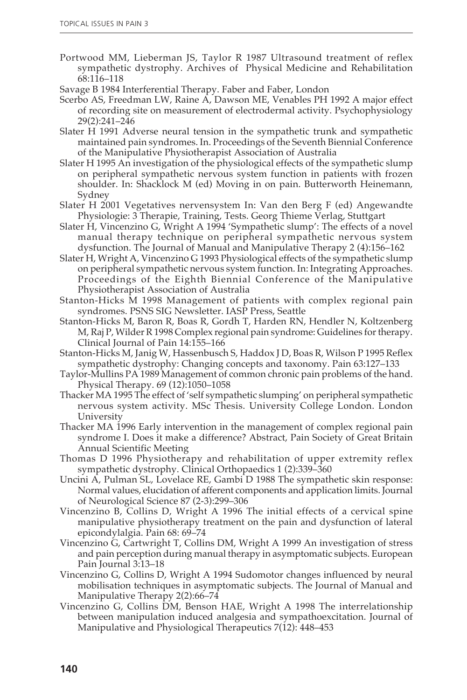- Portwood MM, Lieberman JS, Taylor R 1987 Ultrasound treatment of reflex sympathetic dystrophy. Archives of Physical Medicine and Rehabilitation 68:116–118
- Savage B 1984 Interferential Therapy. Faber and Faber, London
- Scerbo AS, Freedman LW, Raine A, Dawson ME, Venables PH 1992 A major effect of recording site on measurement of electrodermal activity. Psychophysiology 29(2):241–246
- Slater H 1991 Adverse neural tension in the sympathetic trunk and sympathetic maintained pain syndromes. In. Proceedings of the Seventh Biennial Conference of the Manipulative Physiotherapist Association of Australia
- Slater H 1995 An investigation of the physiological effects of the sympathetic slump on peripheral sympathetic nervous system function in patients with frozen shoulder. In: Shacklock M (ed) Moving in on pain. Butterworth Heinemann, Sydney
- Slater H 2001 Vegetatives nervensystem In: Van den Berg F (ed) Angewandte Physiologie: 3 Therapie, Training, Tests. Georg Thieme Verlag, Stuttgart
- Slater H, Vincenzino G, Wright A 1994 'Sympathetic slump': The effects of a novel manual therapy technique on peripheral sympathetic nervous system dysfunction. The Journal of Manual and Manipulative Therapy 2 (4):156–162
- Slater H, Wright A, Vincenzino G 1993 Physiological effects of the sympathetic slump on peripheral sympathetic nervous system function. In: Integrating Approaches. Proceedings of the Eighth Biennial Conference of the Manipulative Physiotherapist Association of Australia
- Stanton-Hicks M 1998 Management of patients with complex regional pain syndromes. PSNS SIG Newsletter. IASP Press, Seattle
- Stanton-Hicks M, Baron R, Boas R, Gordh T, Harden RN, Hendler N, Koltzenberg M, Raj P, Wilder R 1998 Complex regional pain syndrome: Guidelines for therapy. Clinical Journal of Pain 14:155–166
- Stanton-Hicks M, Janig W, Hassenbusch S, Haddox J D, Boas R, Wilson P 1995 Reflex sympathetic dystrophy: Changing concepts and taxonomy. Pain 63:127–133
- Taylor-Mullins PA 1989 Management of common chronic pain problems of the hand. Physical Therapy. 69 (12):1050–1058
- Thacker MA 1995 The effect of 'self sympathetic slumping' on peripheral sympathetic nervous system activity. MSc Thesis. University College London. London University
- Thacker MA 1996 Early intervention in the management of complex regional pain syndrome I. Does it make a difference? Abstract, Pain Society of Great Britain Annual Scientific Meeting
- Thomas D 1996 Physiotherapy and rehabilitation of upper extremity reflex sympathetic dystrophy. Clinical Orthopaedics 1 (2):339–360
- Uncini A, Pulman SL, Lovelace RE, Gambi D 1988 The sympathetic skin response: Normal values, elucidation of afferent components and application limits. Journal of Neurological Science 87 (2-3):299–306
- Vincenzino B, Collins D, Wright A 1996 The initial effects of a cervical spine manipulative physiotherapy treatment on the pain and dysfunction of lateral epicondylalgia. Pain 68: 69–74
- Vincenzino G, Cartwright T, Collins DM, Wright A 1999 An investigation of stress and pain perception during manual therapy in asymptomatic subjects. European Pain Journal 3:13–18
- Vincenzino G, Collins D, Wright A 1994 Sudomotor changes influenced by neural mobilisation techniques in asymptomatic subjects. The Journal of Manual and Manipulative Therapy 2(2):66–74
- Vincenzino G, Collins DM, Benson HAE, Wright A 1998 The interrelationship between manipulation induced analgesia and sympathoexcitation. Journal of Manipulative and Physiological Therapeutics 7(12): 448–453